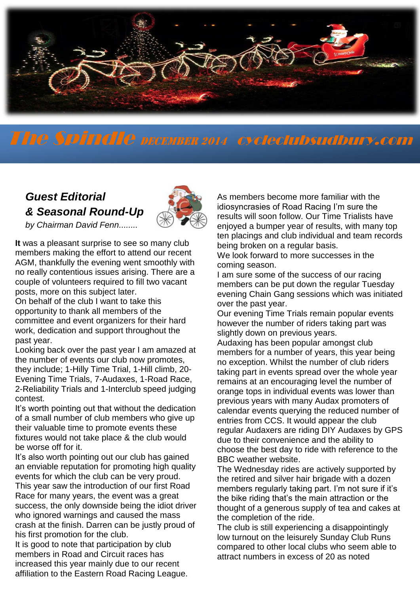

# The Spindle DECEMBER <sup>2014</sup> cycleclubsudbury.com

## *Guest Editorial & Seasonal Round-Up*



*by Chairman David Fenn........*

**It** was a pleasant surprise to see so many club members making the effort to attend our recent AGM, thankfully the evening went smoothly with no really contentious issues arising. There are a couple of volunteers required to fill two vacant posts, more on this subject later.

On behalf of the club I want to take this opportunity to thank all members of the committee and event organizers for their hard work, dedication and support throughout the past year.

Looking back over the past year I am amazed at the number of events our club now promotes, they include; 1-Hilly Time Trial, 1-Hill climb, 20- Evening Time Trials, 7-Audaxes, 1-Road Race, 2-Reliability Trials and 1-Interclub speed judging contest.

It's worth pointing out that without the dedication of a small number of club members who give up their valuable time to promote events these fixtures would not take place & the club would be worse off for it.

It's also worth pointing out our club has gained an enviable reputation for promoting high quality events for which the club can be very proud. This year saw the introduction of our first Road

Race for many years, the event was a great success, the only downside being the idiot driver who ignored warnings and caused the mass crash at the finish. Darren can be justly proud of his first promotion for the club.

It is good to note that participation by club members in Road and Circuit races has increased this year mainly due to our recent affiliation to the Eastern Road Racing League. As members become more familiar with the idiosyncrasies of Road Racing I'm sure the results will soon follow. Our Time Trialists have enjoyed a bumper year of results, with many top ten placings and club individual and team records being broken on a regular basis.

We look forward to more successes in the coming season.

I am sure some of the success of our racing members can be put down the regular Tuesday evening Chain Gang sessions which was initiated over the past year.

Our evening Time Trials remain popular events however the number of riders taking part was slightly down on previous years.

Audaxing has been popular amongst club members for a number of years, this year being no exception. Whilst the number of club riders taking part in events spread over the whole year remains at an encouraging level the number of orange tops in individual events was lower than previous years with many Audax promoters of calendar events querying the reduced number of entries from CCS. It would appear the club regular Audaxers are riding DIY Audaxes by GPS due to their convenience and the ability to choose the best day to ride with reference to the BBC weather website.

The Wednesday rides are actively supported by the retired and silver hair brigade with a dozen members regularly taking part. I'm not sure if it's the bike riding that's the main attraction or the thought of a generous supply of tea and cakes at the completion of the ride.

The club is still experiencing a disappointingly low turnout on the leisurely Sunday Club Runs compared to other local clubs who seem able to attract numbers in excess of 20 as noted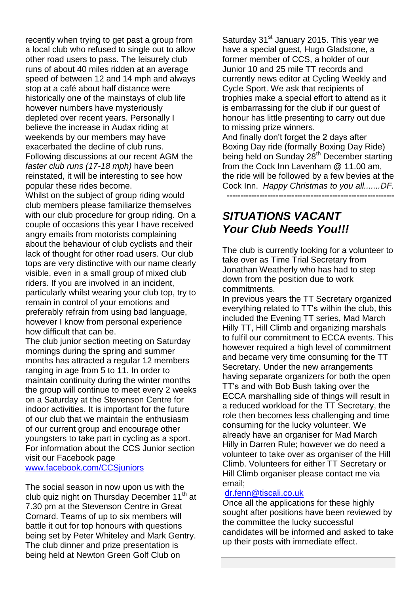recently when trying to get past a group from a local club who refused to single out to allow other road users to pass. The leisurely club runs of about 40 miles ridden at an average speed of between 12 and 14 mph and always stop at a café about half distance were historically one of the mainstays of club life however numbers have mysteriously depleted over recent years. Personally I believe the increase in Audax riding at weekends by our members may have exacerbated the decline of club runs. Following discussions at our recent AGM the *faster club runs (17-18 mph)* have been reinstated, it will be interesting to see how popular these rides become.

Whilst on the subject of group riding would club members please familiarize themselves with our club procedure for group riding. On a couple of occasions this year I have received angry emails from motorists complaining about the behaviour of club cyclists and their lack of thought for other road users. Our club tops are very distinctive with our name clearly visible, even in a small group of mixed club riders. If you are involved in an incident, particularly whilst wearing your club top, try to remain in control of your emotions and preferably refrain from using bad language, however I know from personal experience how difficult that can be.

The club junior section meeting on Saturday mornings during the spring and summer months has attracted a regular 12 members ranging in age from 5 to 11. In order to maintain continuity during the winter months the group will continue to meet every 2 weeks on a Saturday at the Stevenson Centre for indoor activities. It is important for the future of our club that we maintain the enthusiasm of our current group and encourage other youngsters to take part in cycling as a sport. For information about the CCS Junior section visit our Facebook page [www.facebook.com/CCSjuniors](http://www.facebook.com/CCSjuniors)

The social season in now upon us with the club quiz night on Thursday December 11<sup>th</sup> at 7.30 pm at the Stevenson Centre in Great Cornard. Teams of up to six members will battle it out for top honours with questions being set by Peter Whiteley and Mark Gentry. The club dinner and prize presentation is being held at Newton Green Golf Club on

Saturday 31<sup>st</sup> January 2015. This year we have a special guest, Hugo Gladstone, a former member of CCS, a holder of our Junior 10 and 25 mile TT records and currently news editor at Cycling Weekly and Cycle Sport. We ask that recipients of trophies make a special effort to attend as it is embarrassing for the club if our guest of honour has little presenting to carry out due to missing prize winners.

And finally don't forget the 2 days after Boxing Day ride (formally Boxing Day Ride) being held on Sunday 28<sup>th</sup> December starting from the Cock Inn Lavenham @ 11.00 am, the ride will be followed by a few bevies at the Cock Inn. *Happy Christmas to you all.......DF.*  **--------------------------------------------------------------**

### *SITUATIONS VACANT Your Club Needs You!!!*

The club is currently looking for a volunteer to take over as Time Trial Secretary from Jonathan Weatherly who has had to step down from the position due to work commitments.

In previous years the TT Secretary organized everything related to TT's within the club, this included the Evening TT series, Mad March Hilly TT, Hill Climb and organizing marshals to fulfil our commitment to ECCA events. This however required a high level of commitment and became very time consuming for the TT Secretary. Under the new arrangements having separate organizers for both the open TT's and with Bob Bush taking over the ECCA marshalling side of things will result in a reduced workload for the TT Secretary, the role then becomes less challenging and time consuming for the lucky volunteer. We already have an organiser for Mad March Hilly in Darren Rule; however we do need a volunteer to take over as organiser of the Hill Climb. Volunteers for either TT Secretary or Hill Climb organiser please contact me via email;

#### [dr.fenn@tiscali.co.uk](mailto:dr.fenn@tiscali.co.uk)

Once all the applications for these highly sought after positions have been reviewed by the committee the lucky successful candidates will be informed and asked to take up their posts with immediate effect.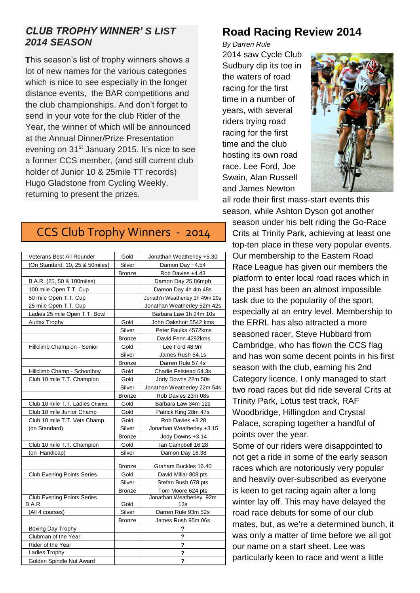#### *CLUB TROPHY WINNER' S LIST 2014 SEASON*

**T**his season's list of trophy winners shows a lot of new names for the various categories which is nice to see especially in the longer distance events, the BAR competitions and the club championships. And don't forget to send in your vote for the club Rider of the Year, the winner of which will be announced at the Annual Dinner/Prize Presentation evening on 31<sup>st</sup> January 2015. It's nice to see a former CCS member, (and still current club holder of Junior 10 & 25mile TT records) Hugo Gladstone from Cycling Weekly, returning to present the prizes.

## **Road Racing Review 2014**

*By Darren Rule*

2014 saw Cycle Club Sudbury dip its toe in the waters of road racing for the first time in a number of years, with several riders trying road racing for the first time and the club hosting its own road race. Lee Ford, Joe Swain, Alan Russell and James Newton



all rode their first mass-start events this season, while Ashton Dyson got another

## CCS Club Trophy Winners - 2014

| Veterans Best All Rounder         | Gold          | Jonathan Weatherley +5.30      |  |  |  |
|-----------------------------------|---------------|--------------------------------|--|--|--|
| (On Standard, 10, 25 & 50miles)   | Silver        | Damon Day +4.54                |  |  |  |
|                                   | <b>Bronze</b> | Rob Davies +4.43               |  |  |  |
| B.A.R. (25, 50 & 100miles)        |               | Damon Day 25.86mph             |  |  |  |
| 100 mile Open T.T. Cup            |               | Damon Day 4h 4m 48s            |  |  |  |
| 50 mile Open T.T. Cup             |               | Jonath'n Weatherley 1h 49m 29s |  |  |  |
| 25 mile Open T.T. Cup             |               | Jonathan Weatherley 52m 42s    |  |  |  |
| Ladies 25 mile Open T.T. Bowl     |               | Barbara Law 1h 24m 10s         |  |  |  |
| Audax Trophy                      | Gold          | John Oakshott 5542 kms         |  |  |  |
|                                   | Silver        | Peter Faulks 4572kms           |  |  |  |
|                                   | <b>Bronze</b> | David Fenn 4292kms             |  |  |  |
| Hillclimb Champion - Senior       | Gold          | Lee Ford 48.9m                 |  |  |  |
|                                   | Silver        | James Rush 54.1s               |  |  |  |
|                                   | <b>Bronze</b> | Darren Rule 57.4s              |  |  |  |
| Hillclimb Champ - Schoolboy       | Gold          | Charlie Felstead 64.3s         |  |  |  |
| Club 10 mile T.T. Champion        | Gold          | Jody Downs 22m 50s             |  |  |  |
|                                   | Silver        | Jonathan Weatherley 22m 54s    |  |  |  |
|                                   | <b>Bronze</b> | Rob Davies 23m 08s             |  |  |  |
| Club 10 mile T.T. Ladies Champ.   | Gold          | Barbara Law 34m 12s            |  |  |  |
| Club 10 mile Junior Champ         | Gold          | Patrick King 28m 47s           |  |  |  |
| Club 10 mile T.T. Vets Champ.     | Gold          | Rob Davies +3.28               |  |  |  |
| (on Standard)                     | Silver        | Jonathan Weatherley +3.15      |  |  |  |
|                                   | <b>Bronze</b> | Jody Downs +3.14               |  |  |  |
| Club 10 mile T.T. Champion        | Gold          | Ian Campbell 16.28             |  |  |  |
| (on Handicap)                     | Silver        | Damon Day 16.38                |  |  |  |
|                                   | Bronze        | Graham Buckles 16.40           |  |  |  |
| <b>Club Evening Points Series</b> | Gold          | David Millar 808 pts           |  |  |  |
|                                   | Silver        | Stefan Bush 678 pts            |  |  |  |
|                                   | <b>Bronze</b> | Tom Moore 624 pts              |  |  |  |
| <b>Club Evening Points Series</b> |               | Jonathan Weatherley 92m        |  |  |  |
| <b>B.A.R.</b>                     | Gold          | 13s                            |  |  |  |
| (All 4 courses)                   | Silver        | Darren Rule 93m 52s            |  |  |  |
|                                   | <b>Bronze</b> | James Rush 95m 06s             |  |  |  |
| Boxing Day Trophy                 |               | ?                              |  |  |  |
| Clubman of the Year               |               | ?                              |  |  |  |
| Rider of the Year                 |               | ?                              |  |  |  |
| Ladies Trophy                     |               | ?                              |  |  |  |
| Golden Spindle Nut Award          |               | ?                              |  |  |  |

season under his belt riding the Go-Race Crits at Trinity Park, achieving at least one top-ten place in these very popular events. Our membership to the Eastern Road Race League has given our members the platform to enter local road races which in the past has been an almost impossible task due to the popularity of the sport, especially at an entry level. Membership to the ERRL has also attracted a more seasoned racer, Steve Hubbard from Cambridge, who has flown the CCS flag and has won some decent points in his first season with the club, earning his 2nd Category licence. I only managed to start two road races but did ride several Crits at Trinity Park, Lotus test track, RAF Woodbridge, Hillingdon and Crystal Palace, scraping together a handful of points over the year.

Some of our riders were disappointed to not get a ride in some of the early season races which are notoriously very popular and heavily over-subscribed as everyone is keen to get racing again after a long winter lay off. This may have delayed the road race debuts for some of our club mates, but, as we're a determined bunch, it was only a matter of time before we all got our name on a start sheet. Lee was particularly keen to race and went a little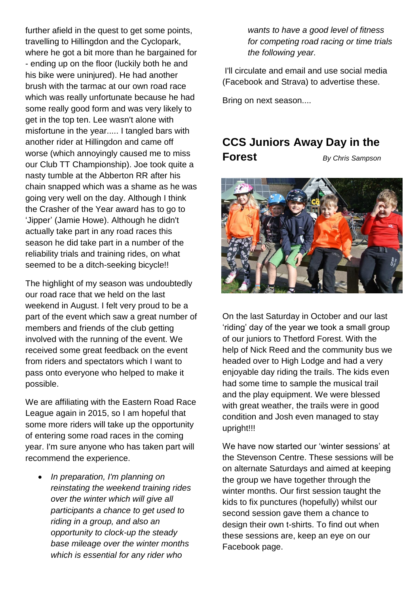further afield in the quest to get some points, travelling to Hillingdon and the Cyclopark, where he got a bit more than he bargained for - ending up on the floor (luckily both he and his bike were uninjured). He had another brush with the tarmac at our own road race which was really unfortunate because he had some really good form and was very likely to get in the top ten. Lee wasn't alone with misfortune in the year..... I tangled bars with another rider at Hillingdon and came off worse (which annoyingly caused me to miss our Club TT Championship). Joe took quite a nasty tumble at the Abberton RR after his chain snapped which was a shame as he was going very well on the day. Although I think the Crasher of the Year award has to go to 'Jipper' (Jamie Howe). Although he didn't actually take part in any road races this season he did take part in a number of the reliability trials and training rides, on what seemed to be a ditch-seeking bicycle!!

The highlight of my season was undoubtedly our road race that we held on the last weekend in August. I felt very proud to be a part of the event which saw a great number of members and friends of the club getting involved with the running of the event. We received some great feedback on the event from riders and spectators which I want to pass onto everyone who helped to make it possible.

We are affiliating with the Eastern Road Race League again in 2015, so I am hopeful that some more riders will take up the opportunity of entering some road races in the coming year. I'm sure anyone who has taken part will recommend the experience.

 *In preparation, I'm planning on reinstating the weekend training rides over the winter which will give all participants a chance to get used to riding in a group, and also an opportunity to clock-up the steady base mileage over the winter months which is essential for any rider who* 

*wants to have a good level of fitness for competing road racing or time trials the following year.*

I'll circulate and email and use social media (Facebook and Strava) to advertise these.

Bring on next season....

### **CCS Juniors Away Day in the**

**Forest** *By Chris Sampson*



On the last Saturday in October and our last 'riding' day of the year we took a small group of our juniors to Thetford Forest. With the help of Nick Reed and the community bus we headed over to High Lodge and had a very enjoyable day riding the trails. The kids even had some time to sample the musical trail and the play equipment. We were blessed with great weather, the trails were in good condition and Josh even managed to stay upright!!!

We have now started our 'winter sessions' at the Stevenson Centre. These sessions will be on alternate Saturdays and aimed at keeping the group we have together through the winter months. Our first session taught the kids to fix punctures (hopefully) whilst our second session gave them a chance to design their own t-shirts. To find out when these sessions are, keep an eye on our Facebook page.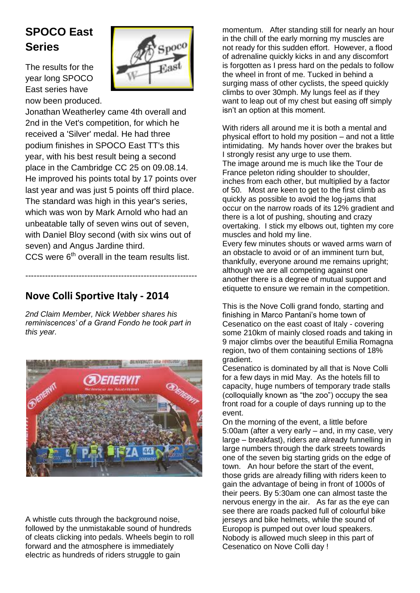## **SPOCO East Series**

The results for the year long SPOCO East series have now been produced.

![](_page_4_Picture_2.jpeg)

Jonathan Weatherley came 4th overall and 2nd in the Vet's competition, for which he received a 'Silver' medal. He had three podium finishes in SPOCO East TT's this year, with his best result being a second place in the Cambridge CC 25 on 09.08.14. He improved his points total by 17 points over last year and was just 5 points off third place. The standard was high in this year's series, which was won by Mark Arnold who had an unbeatable tally of seven wins out of seven, with Daniel Bloy second (with six wins out of seven) and Angus Jardine third.

CCS were  $6<sup>th</sup>$  overall in the team results list.

-------------------------------------------------------------

### **Nove Colli Sportive Italy - 2014**

*2nd Claim Member, Nick Webber shares his reminiscences' of a Grand Fondo he took part in this year.*

![](_page_4_Picture_7.jpeg)

A whistle cuts through the background noise, followed by the unmistakable sound of hundreds of cleats clicking into pedals. Wheels begin to roll forward and the atmosphere is immediately electric as hundreds of riders struggle to gain

momentum. After standing still for nearly an hour in the chill of the early morning my muscles are not ready for this sudden effort. However, a flood of adrenaline quickly kicks in and any discomfort is forgotten as I press hard on the pedals to follow the wheel in front of me. Tucked in behind a surging mass of other cyclists, the speed quickly climbs to over 30mph. My lungs feel as if they want to leap out of my chest but easing off simply isn't an option at this moment.

With riders all around me it is both a mental and physical effort to hold my position – and not a little intimidating. My hands hover over the brakes but I strongly resist any urge to use them. The image around me is much like the Tour de France peleton riding shoulder to shoulder, inches from each other, but multiplied by a factor of 50. Most are keen to get to the first climb as quickly as possible to avoid the log-jams that occur on the narrow roads of its 12% gradient and there is a lot of pushing, shouting and crazy overtaking. I stick my elbows out, tighten my core muscles and hold my line.

Every few minutes shouts or waved arms warn of an obstacle to avoid or of an imminent turn but, thankfully, everyone around me remains upright; although we are all competing against one another there is a degree of mutual support and etiquette to ensure we remain in the competition.

This is the Nove Colli grand fondo, starting and finishing in Marco Pantani's home town of Cesenatico on the east coast of Italy - covering some 210km of mainly closed roads and taking in 9 major climbs over the beautiful Emilia Romagna region, two of them containing sections of 18% gradient.

Cesenatico is dominated by all that is Nove Colli for a few days in mid May. As the hotels fill to capacity, huge numbers of temporary trade stalls (colloquially known as "the zoo") occupy the sea front road for a couple of days running up to the event.

On the morning of the event, a little before 5:00am (after a very early – and, in my case, very large – breakfast), riders are already funnelling in large numbers through the dark streets towards one of the seven big starting grids on the edge of town. An hour before the start of the event, those grids are already filling with riders keen to gain the advantage of being in front of 1000s of their peers. By 5:30am one can almost taste the nervous energy in the air. As far as the eye can see there are roads packed full of colourful bike jerseys and bike helmets, while the sound of Europop is pumped out over loud speakers. Nobody is allowed much sleep in this part of Cesenatico on Nove Colli day !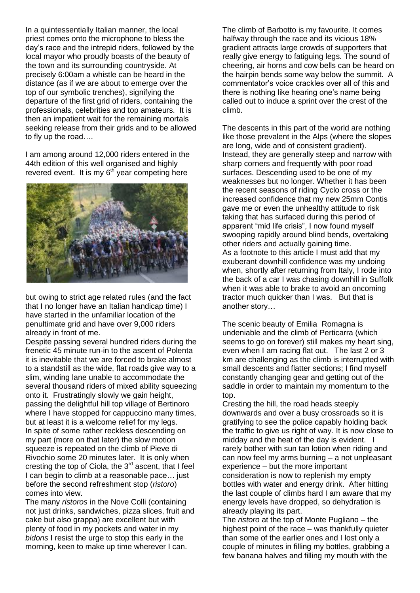In a quintessentially Italian manner, the local priest comes onto the microphone to bless the day's race and the intrepid riders, followed by the local mayor who proudly boasts of the beauty of the town and its surrounding countryside. At precisely 6:00am a whistle can be heard in the distance (as if we are about to emerge over the top of our symbolic trenches), signifying the departure of the first grid of riders, containing the professionals, celebrities and top amateurs. It is then an impatient wait for the remaining mortals seeking release from their grids and to be allowed to fly up the road….

I am among around 12,000 riders entered in the 44th edition of this well organised and highly revered event. It is my  $6<sup>th</sup>$  year competing here

![](_page_5_Picture_2.jpeg)

but owing to strict age related rules (and the fact that I no longer have an Italian handicap time) I have started in the unfamiliar location of the penultimate grid and have over 9,000 riders already in front of me.

Despite passing several hundred riders during the frenetic 45 minute run-in to the ascent of Polenta it is inevitable that we are forced to brake almost to a standstill as the wide, flat roads give way to a slim, winding lane unable to accommodate the several thousand riders of mixed ability squeezing onto it. Frustratingly slowly we gain height, passing the delightful hill top village of Bertinoro where I have stopped for cappuccino many times, but at least it is a welcome relief for my legs. In spite of some rather reckless descending on my part (more on that later) the slow motion squeeze is repeated on the climb of Pieve di Rivochio some 20 minutes later. It is only when cresting the top of Ciola, the 3rd ascent, that I feel I can begin to climb at a reasonable pace… just before the second refreshment stop (*ristoro*) comes into view.

The many *ristoros* in the Nove Colli (containing not just drinks, sandwiches, pizza slices, fruit and cake but also grappa) are excellent but with plenty of food in my pockets and water in my *bidons* I resist the urge to stop this early in the morning, keen to make up time wherever I can.

The climb of Barbotto is my favourite. It comes halfway through the race and its vicious 18% gradient attracts large crowds of supporters that really give energy to fatiguing legs. The sound of cheering, air horns and cow bells can be heard on the hairpin bends some way below the summit. A commentator's voice crackles over all of this and there is nothing like hearing one's name being called out to induce a sprint over the crest of the climb.

The descents in this part of the world are nothing like those prevalent in the Alps (where the slopes are long, wide and of consistent gradient). Instead, they are generally steep and narrow with sharp corners and frequently with poor road surfaces. Descending used to be one of my weaknesses but no longer. Whether it has been the recent seasons of riding Cyclo cross or the increased confidence that my new 25mm Contis gave me or even the unhealthy attitude to risk taking that has surfaced during this period of apparent "mid life crisis", I now found myself swooping rapidly around blind bends, overtaking other riders and actually gaining time. As a footnote to this article I must add that my exuberant downhill confidence was my undoing when, shortly after returning from Italy, I rode into the back of a car I was chasing downhill in Suffolk when it was able to brake to avoid an oncoming tractor much quicker than I was. But that is another story…

The scenic beauty of Emilia Romagna is undeniable and the climb of Perticarra (which seems to go on forever) still makes my heart sing, even when I am racing flat out. The last 2 or 3 km are challenging as the climb is interrupted with small descents and flatter sections; I find myself constantly changing gear and getting out of the saddle in order to maintain my momentum to the top.

Cresting the hill, the road heads steeply downwards and over a busy crossroads so it is gratifying to see the police capably holding back the traffic to give us right of way. It is now close to midday and the heat of the day is evident. I rarely bother with sun tan lotion when riding and can now feel my arms burning – a not unpleasant experience – but the more important consideration is now to replenish my empty bottles with water and energy drink. After hitting the last couple of climbs hard I am aware that my energy levels have dropped, so dehydration is already playing its part.

The *ristoro* at the top of Monte Pugliano – the highest point of the race – was thankfully quieter than some of the earlier ones and I lost only a couple of minutes in filling my bottles, grabbing a few banana halves and filling my mouth with the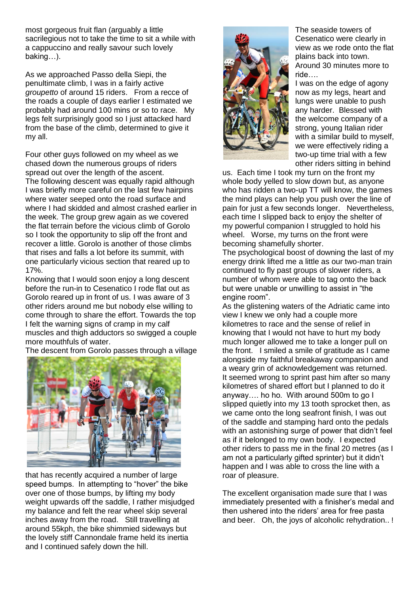most gorgeous fruit flan (arguably a little sacrilegious not to take the time to sit a while with a cappuccino and really savour such lovely baking…).

As we approached Passo della Siepi, the penultimate climb, I was in a fairly active *groupetto* of around 15 riders. From a recce of the roads a couple of days earlier I estimated we probably had around 100 mins or so to race. My legs felt surprisingly good so I just attacked hard from the base of the climb, determined to give it my all.

Four other guys followed on my wheel as we chased down the numerous groups of riders spread out over the length of the ascent. The following descent was equally rapid although I was briefly more careful on the last few hairpins where water seeped onto the road surface and where I had skidded and almost crashed earlier in the week. The group grew again as we covered the flat terrain before the vicious climb of Gorolo so I took the opportunity to slip off the front and recover a little. Gorolo is another of those climbs that rises and falls a lot before its summit, with one particularly vicious section that reared up to 17%.

Knowing that I would soon enjoy a long descent before the run-in to Cesenatico I rode flat out as Gorolo reared up in front of us. I was aware of 3 other riders around me but nobody else willing to come through to share the effort. Towards the top I felt the warning signs of cramp in my calf muscles and thigh adductors so swigged a couple more mouthfuls of water.

The descent from Gorolo passes through a village

![](_page_6_Picture_5.jpeg)

that has recently acquired a number of large speed bumps. In attempting to "hover" the bike over one of those bumps, by lifting my body weight upwards off the saddle, I rather misjudged my balance and felt the rear wheel skip several inches away from the road. Still travelling at around 55kph, the bike shimmied sideways but the lovely stiff Cannondale frame held its inertia and I continued safely down the hill.

![](_page_6_Picture_7.jpeg)

The seaside towers of Cesenatico were clearly in view as we rode onto the flat plains back into town. Around 30 minutes more to ride….

I was on the edge of agony now as my legs, heart and lungs were unable to push any harder. Blessed with the welcome company of a strong, young Italian rider with a similar build to myself, we were effectively riding a two-up time trial with a few other riders sitting in behind

us. Each time I took my turn on the front my whole body yelled to slow down but, as anyone who has ridden a two-up TT will know, the games the mind plays can help you push over the line of pain for just a few seconds longer. Nevertheless, each time I slipped back to enjoy the shelter of my powerful companion I struggled to hold his wheel. Worse, my turns on the front were becoming shamefully shorter.

The psychological boost of downing the last of my energy drink lifted me a little as our two-man train continued to fly past groups of slower riders, a number of whom were able to tag onto the back but were unable or unwilling to assist in "the engine room".

As the glistening waters of the Adriatic came into view I knew we only had a couple more kilometres to race and the sense of relief in knowing that I would not have to hurt my body much longer allowed me to take a longer pull on the front. I smiled a smile of gratitude as I came alongside my faithful breakaway companion and a weary grin of acknowledgement was returned. It seemed wrong to sprint past him after so many kilometres of shared effort but I planned to do it anyway…. ho ho. With around 500m to go I slipped quietly into my 13 tooth sprocket then, as we came onto the long seafront finish, I was out of the saddle and stamping hard onto the pedals with an astonishing surge of power that didn't feel as if it belonged to my own body. I expected other riders to pass me in the final 20 metres (as I am not a particularly gifted sprinter) but it didn't happen and I was able to cross the line with a roar of pleasure.

The excellent organisation made sure that I was immediately presented with a finisher's medal and then ushered into the riders' area for free pasta and beer. Oh, the joys of alcoholic rehydration.. !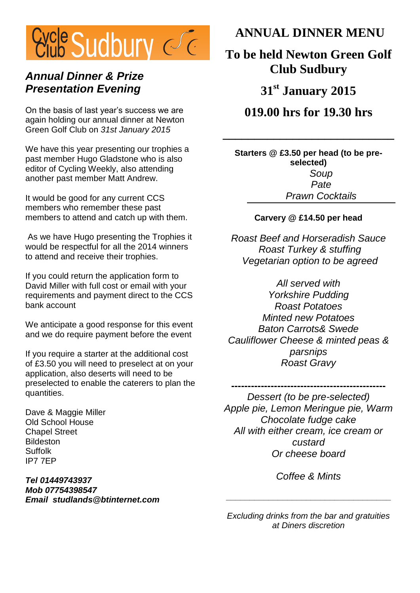![](_page_7_Picture_0.jpeg)

### *Annual Dinner & Prize Presentation Evening*

On the basis of last year's success we are again holding our annual dinner at Newton Green Golf Club on *31st January 2015*

We have this year presenting our trophies a past member Hugo Gladstone who is also editor of Cycling Weekly, also attending another past member Matt Andrew.

It would be good for any current CCS members who remember these past members to attend and catch up with them.

As we have Hugo presenting the Trophies it would be respectful for all the 2014 winners to attend and receive their trophies.

If you could return the application form to David Miller with full cost or email with your requirements and payment direct to the CCS bank account

We anticipate a good response for this event and we do require payment before the event

If you require a starter at the additional cost of £3.50 you will need to preselect at on your application, also deserts will need to be preselected to enable the caterers to plan the quantities.

Dave & Maggie Miller Old School House Chapel Street **Bildeston** Suffolk IP7 7EP

*Tel 01449743937 Mob 07754398547 Email studlands@btinternet.com*  **ANNUAL DINNER MENU**

**To be held Newton Green Golf Club Sudbury**

**31st January 2015**

**019.00 hrs for 19.30 hrs**

**\_\_\_\_\_\_\_\_\_\_\_\_\_\_\_\_\_\_\_\_\_\_\_\_\_\_\_**

**Starters @ £3.50 per head (to be preselected)** *Soup Pate Prawn Cocktails*

#### **Carvery @ £14.50 per head**

*Roast Beef and Horseradish Sauce Roast Turkey & stuffing Vegetarian option to be agreed*

*All served with Yorkshire Pudding Roast Potatoes Minted new Potatoes Baton Carrots& Swede Cauliflower Cheese & minted peas & parsnips Roast Gravy*

**-----------------------------------------------** *Dessert (to be pre-selected) Apple pie, Lemon Meringue pie, Warm Chocolate fudge cake All with either cream, ice cream or custard Or cheese board*

*Coffee & Mints*

**\_\_\_\_\_\_\_\_\_\_\_\_\_\_\_\_\_\_\_\_\_\_\_\_\_\_\_\_\_\_\_\_\_\_\_**

*Excluding drinks from the bar and gratuities at Diners discretion*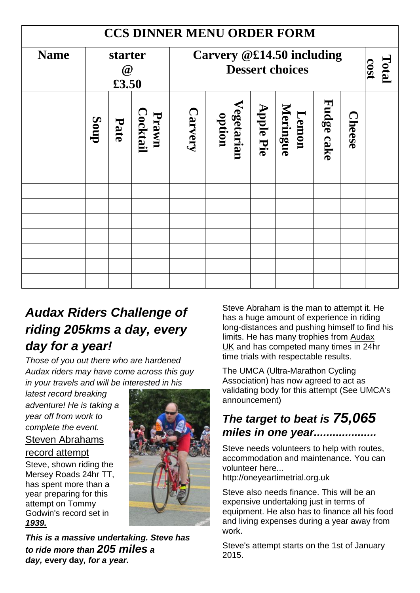| <b>CCS DINNER MENU ORDER FORM</b> |                              |      |                   |                                                     |                      |                  |                   |            |               |  |  |
|-----------------------------------|------------------------------|------|-------------------|-----------------------------------------------------|----------------------|------------------|-------------------|------------|---------------|--|--|
| <b>Name</b>                       | starter<br>$\omega$<br>£3.50 |      |                   | Carvery @£14.50 including<br><b>Dessert choices</b> |                      |                  |                   |            | Total<br>cost |  |  |
|                                   | dnog                         | Pate | Cocktail<br>Prawn | <b>Carvery</b>                                      | Vegetarian<br>option | <b>Apple Pie</b> | Meringue<br>Lemon | Fudge cake | <b>Cheese</b> |  |  |
|                                   |                              |      |                   |                                                     |                      |                  |                   |            |               |  |  |
|                                   |                              |      |                   |                                                     |                      |                  |                   |            |               |  |  |
|                                   |                              |      |                   |                                                     |                      |                  |                   |            |               |  |  |
|                                   |                              |      |                   |                                                     |                      |                  |                   |            |               |  |  |
|                                   |                              |      |                   |                                                     |                      |                  |                   |            |               |  |  |
|                                   |                              |      |                   |                                                     |                      |                  |                   |            |               |  |  |
|                                   |                              |      |                   |                                                     |                      |                  |                   |            |               |  |  |

## *Audax Riders Challenge of riding 205kms a day, every day for a year!*

*Those of you out there who are hardened Audax riders may have come across this guy in your travels and will be interested in his* 

*latest record breaking adventure! He is taking a year off from work to complete the event.* 

[Steven Abrahams](http://oneyeartimetrial.org.uk/8-steven-abraham-s-record-attempt/1-steven-s-record-attempt)

#### [record attempt](http://oneyeartimetrial.org.uk/8-steven-abraham-s-record-attempt/1-steven-s-record-attempt)

Steve, shown riding the Mersey Roads 24hr TT, has spent more than a year preparing for this attempt on Tommy Godwin's record set in *1939.*

![](_page_8_Picture_7.jpeg)

*This is a massive undertaking. Steve has to ride more than 205 miles a day,* **every day***, for a year.*

Steve Abraham is the man to attempt it. He has a huge amount of experience in riding long-distances and pushing himself to find his limits. He has many trophies from [Audax](http://www.aukweb.net/)  [UK](http://www.aukweb.net/) and has competed many times in 24hr time trials with respectable results.

The [UMCA](https://www.ultracycling.com/) (Ultra-Marathon Cycling Association) has now agreed to act as validating body for this attempt (See UMCA's announcement)

## *The target to beat is 75,065 miles in one year....................*

Steve needs volunteers to help with routes, accommodation and maintenance. You can volunteer here...

http://oneyeartimetrial.org.uk

Steve also needs finance. This will be an expensive undertaking just in terms of equipment. He also has to finance all his food and living expenses during a year away from work.

Steve's attempt starts on the 1st of January 2015.